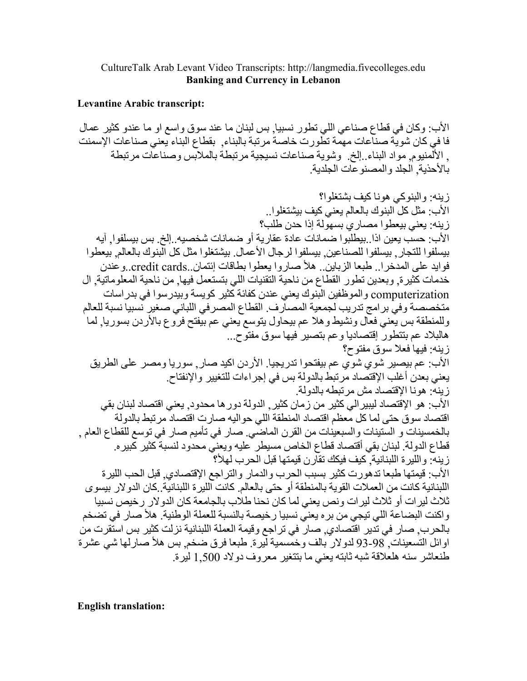## CultureTalk Arab Levant Video Transcripts: http://langmedia.fivecolleges.edu **Banking and Currency in Lebanon**

## **Levantine Arabic transcript:**

الأب: وكان في قطاع صناعي اللي تطور نسبيا, بس لبنان ما عند سوق واسع او ما عندو كثير عمال فا في كان شوية صناعات مهمة تطورت خاصة مرتبة بالبناء ٍ بقطاع البناء يعني صناعات الإسمنت , الألْمنيوم, مواد البناء . إلخ وشوية صناعات نسيجية مرتبطة بالملابس وصناعات مرتبطة بالأحذبة الحلد والمصنو عات الحلدبة

ز بنه: و البنوكي هو نا كبف بشتغلو ا؟ الأب: مثل كلِّ البنوك بالعالم يعني كيف بيشتغلوا.. زينه: يعني بيعطوا مصارى بسهولة إذا حدن طلب؟ الأب: حسب يعين اذا بيطلبوا ضمانات عادة عقارية أو ضمانات شخصيه إلخ. بس بيسلفوا, آيه بيسلفوا للتجار بيسلفوا للصناعين بيسلفوا لرجال الأعمال بيشتغلوا مثل كل البنوك بالعالم بيعطوا فوايد على المدخرا . طبعا الزباين . هلأ صاروا يعطوا بطاقات إئتمان ..credit cards ..وعندن خدمات كثيرة٬ وبعدين تطور القطاع من ناحية التقنيات اللي بتستعمل فيها٬ من ناحية المعلوماتية٬ ال computerization والموظفين البنوك يعنى عندن كفائة كثير كويسة وبيدرسوا في بدراسات متخصصة وفي برامج تدريب لجمعية المصارف القطاع المصرفي اللباني صغير نسبيا نسبة للعالم وللمنطقة بس يعني فعال ونشيط وهلا عم بيحاول يتوسع يعنى عم بيفتح فروع بالأردن بسوريا لما هالبلاد عم بتتطور إقتصاديا وعم بتصبر فيها سوق مفتوح... ز بنه: فبها فعلا سوق مفتوح؟ الأب: عم بيصير شوي شوَّي عم بيفتحوا تدريجيا. الأردن اكيد صار, سوريا ومصر على الطريق يعني بعدن أغلب الإقتصاد مرتبط بالدولة بس في إجراءات للتغيير والإنفتاح. زِ بِنهُ: هونا الإقتصاد مش مر تبطه بالدولة. الأب: هو الإقتصاد ليبير الى كثير من زمان كثير٬ الدولة دور ها محدود٬ يعني اقتصاد لبنان بقي اقتصاد سوق حتى لما كل معظم اقتصاد المنطقة اللي حواليه صارت اقتصاد مرتبط بالدولة بالخمسينات و الستينات والسبعينات من القرن الماضي صار في تأميم صار في توسع للقطاع العام , قطاع الدولة. لبنان بقي أقتصاد قطاع الخاص مسيطر عليه ويعني محدود لنسبة كثير كبيره. ز بنه ۖ و اللبر ة اللبنانية ۖ كيف فيكك تقار ن قيمتها قبل الحر ب لهلاً؟ ۖ الأب: فيمنها طبعا تدهورت كثير بسبب الحرب والدمار والتراجع الإقتصادي قبل الحب الليرة اللبنانية كانت من العملات القوية بالمنطقة أو حتى بالعالم. كانت الليرة اللبنانية كان الدولار بيسوى ثلاث لبر ات أو ثلاث لبر ات و نص بعني لما كان نحنا طلاب بالجامعة كان الدو لار ر خبص نسببا واكنت البضاعة اللي تيجي من بر ، يعنيّ نسبيا رخيصة بالنسبة للعملة الوطنية. هلأ صار في تضخم بالحرب ٍ صار في تدير اقتصادي ٍ صار في تراجع وقيمة العملة اللبنانية نزلت كثير بس استقرت من اوائل التسعينات 98-93 لدولار بالف وخمسمية ليرة. طبعا فرق ضخم. بس هلأ صارلها شي عشرة طنعاشر سنه هلعلاقة شبه ثابته يعني ما بنتغير معروف دولاد 1٬500 ليرة.

**English translation:**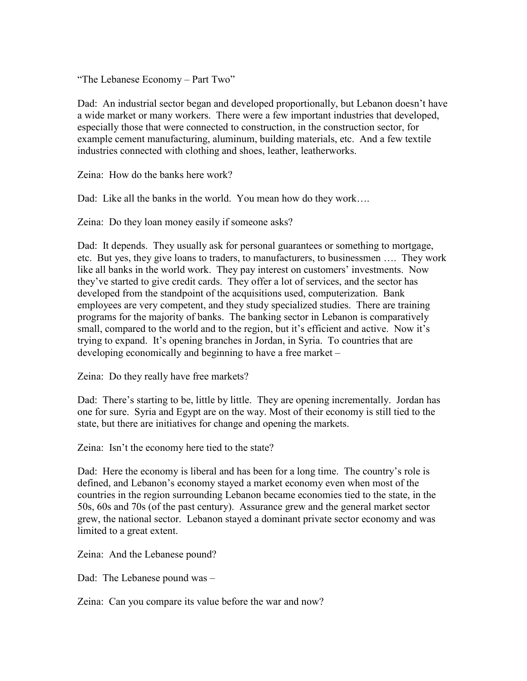"The Lebanese Economy – Part Two"

Dad: An industrial sector began and developed proportionally, but Lebanon doesn't have a wide market or many workers. There were a few important industries that developed, especially those that were connected to construction, in the construction sector, for example cement manufacturing, aluminum, building materials, etc. And a few textile industries connected with clothing and shoes, leather, leatherworks.

Zeina: How do the banks here work?

Dad: Like all the banks in the world. You mean how do they work....

Zeina: Do they loan money easily if someone asks?

Dad: It depends. They usually ask for personal guarantees or something to mortgage, etc. But yes, they give loans to traders, to manufacturers, to businessmen …. They work like all banks in the world work. They pay interest on customers' investments. Now they've started to give credit cards. They offer a lot of services, and the sector has developed from the standpoint of the acquisitions used, computerization. Bank employees are very competent, and they study specialized studies. There are training programs for the majority of banks. The banking sector in Lebanon is comparatively small, compared to the world and to the region, but it's efficient and active. Now it's trying to expand. It's opening branches in Jordan, in Syria. To countries that are developing economically and beginning to have a free market –

Zeina: Do they really have free markets?

Dad: There's starting to be, little by little. They are opening incrementally. Jordan has one for sure. Syria and Egypt are on the way. Most of their economy is still tied to the state, but there are initiatives for change and opening the markets.

Zeina: Isn't the economy here tied to the state?

Dad: Here the economy is liberal and has been for a long time. The country's role is defined, and Lebanon's economy stayed a market economy even when most of the countries in the region surrounding Lebanon became economies tied to the state, in the 50s, 60s and 70s (of the past century). Assurance grew and the general market sector grew, the national sector. Lebanon stayed a dominant private sector economy and was limited to a great extent.

Zeina: And the Lebanese pound?

Dad: The Lebanese pound was –

Zeina: Can you compare its value before the war and now?